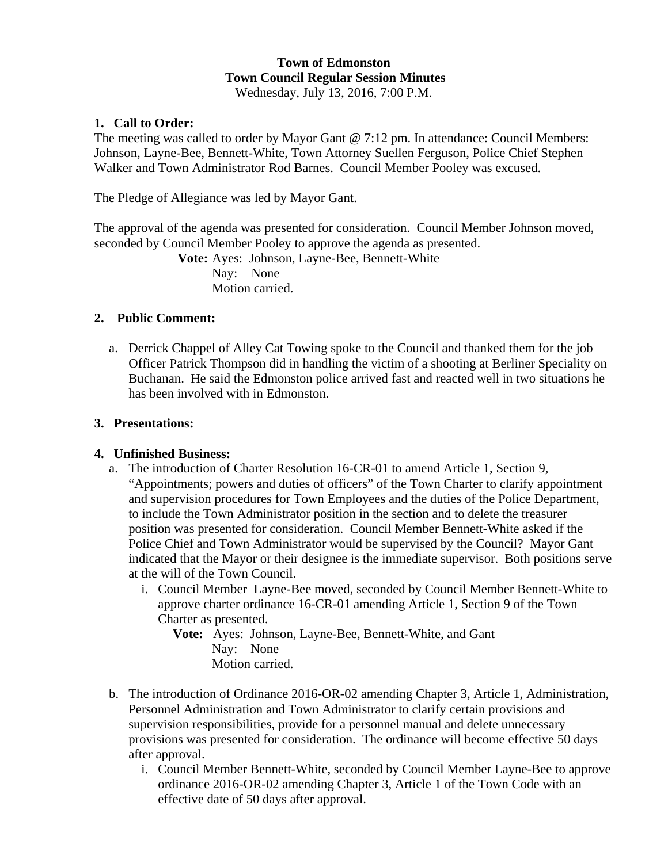# **Town of Edmonston Town Council Regular Session Minutes**

Wednesday, July 13, 2016, 7:00 P.M.

## **1. Call to Order:**

The meeting was called to order by Mayor Gant @ 7:12 pm. In attendance: Council Members: Johnson, Layne-Bee, Bennett-White, Town Attorney Suellen Ferguson, Police Chief Stephen Walker and Town Administrator Rod Barnes. Council Member Pooley was excused.

The Pledge of Allegiance was led by Mayor Gant.

The approval of the agenda was presented for consideration. Council Member Johnson moved, seconded by Council Member Pooley to approve the agenda as presented.

**Vote:** Ayes: Johnson, Layne-Bee, Bennett-White Nav: None Motion carried.

## **2. Public Comment:**

a. Derrick Chappel of Alley Cat Towing spoke to the Council and thanked them for the job Officer Patrick Thompson did in handling the victim of a shooting at Berliner Speciality on Buchanan. He said the Edmonston police arrived fast and reacted well in two situations he has been involved with in Edmonston.

## **3. Presentations:**

# **4. Unfinished Business:**

- a. The introduction of Charter Resolution 16-CR-01 to amend Article 1, Section 9, "Appointments; powers and duties of officers" of the Town Charter to clarify appointment and supervision procedures for Town Employees and the duties of the Police Department, to include the Town Administrator position in the section and to delete the treasurer position was presented for consideration. Council Member Bennett-White asked if the Police Chief and Town Administrator would be supervised by the Council? Mayor Gant indicated that the Mayor or their designee is the immediate supervisor. Both positions serve at the will of the Town Council.
	- i. Council Member Layne-Bee moved, seconded by Council Member Bennett-White to approve charter ordinance 16-CR-01 amending Article 1, Section 9 of the Town Charter as presented.

**Vote:** Ayes: Johnson, Layne-Bee, Bennett-White, and Gant Nay: None Motion carried.

- b. The introduction of Ordinance 2016-OR-02 amending Chapter 3, Article 1, Administration, Personnel Administration and Town Administrator to clarify certain provisions and supervision responsibilities, provide for a personnel manual and delete unnecessary provisions was presented for consideration. The ordinance will become effective 50 days after approval.
	- i. Council Member Bennett-White, seconded by Council Member Layne-Bee to approve ordinance 2016-OR-02 amending Chapter 3, Article 1 of the Town Code with an effective date of 50 days after approval.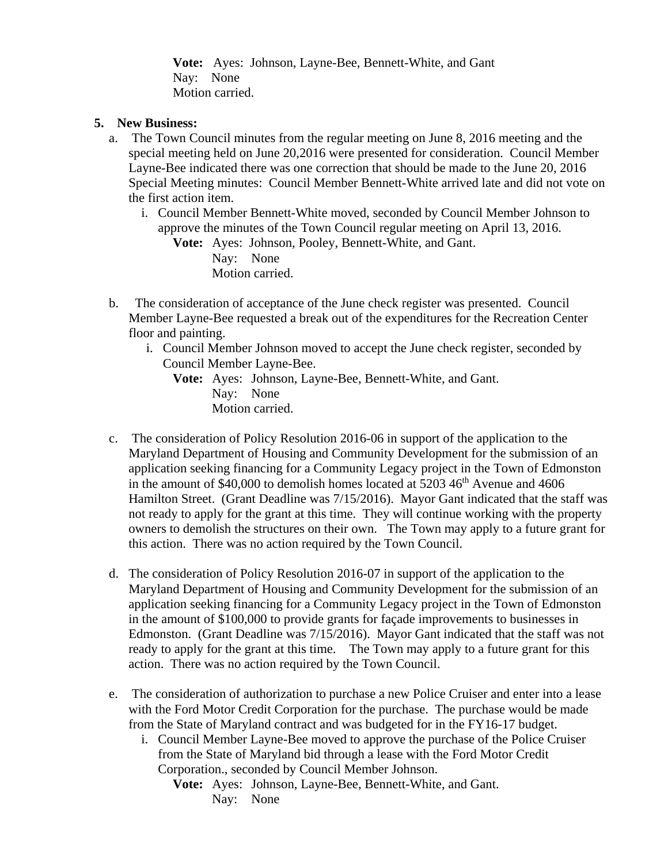**Vote:** Ayes: Johnson, Layne-Bee, Bennett-White, and Gant Nay: None Motion carried.

## **5. New Business:**

- a. The Town Council minutes from the regular meeting on June 8, 2016 meeting and the special meeting held on June 20,2016 were presented for consideration. Council Member Layne-Bee indicated there was one correction that should be made to the June 20, 2016 Special Meeting minutes: Council Member Bennett-White arrived late and did not vote on the first action item.
	- i. Council Member Bennett-White moved, seconded by Council Member Johnson to approve the minutes of the Town Council regular meeting on April 13, 2016.

**Vote:** Ayes: Johnson, Pooley, Bennett-White, and Gant. Nay: None Motion carried.

- b. The consideration of acceptance of the June check register was presented. Council Member Layne-Bee requested a break out of the expenditures for the Recreation Center floor and painting.
	- i. Council Member Johnson moved to accept the June check register, seconded by Council Member Layne-Bee.

**Vote:** Ayes: Johnson, Layne-Bee, Bennett-White, and Gant. Nay: None Motion carried.

- c. The consideration of Policy Resolution 2016-06 in support of the application to the Maryland Department of Housing and Community Development for the submission of an application seeking financing for a Community Legacy project in the Town of Edmonston in the amount of  $$40,000$  to demolish homes located at  $5203\,46<sup>th</sup>$  Avenue and  $4606$ Hamilton Street. (Grant Deadline was 7/15/2016). Mayor Gant indicated that the staff was not ready to apply for the grant at this time. They will continue working with the property owners to demolish the structures on their own. The Town may apply to a future grant for this action. There was no action required by the Town Council.
- d. The consideration of Policy Resolution 2016-07 in support of the application to the Maryland Department of Housing and Community Development for the submission of an application seeking financing for a Community Legacy project in the Town of Edmonston in the amount of \$100,000 to provide grants for façade improvements to businesses in Edmonston. (Grant Deadline was 7/15/2016). Mayor Gant indicated that the staff was not ready to apply for the grant at this time. The Town may apply to a future grant for this action. There was no action required by the Town Council.
- e. The consideration of authorization to purchase a new Police Cruiser and enter into a lease with the Ford Motor Credit Corporation for the purchase. The purchase would be made from the State of Maryland contract and was budgeted for in the FY16-17 budget.
	- i. Council Member Layne-Bee moved to approve the purchase of the Police Cruiser from the State of Maryland bid through a lease with the Ford Motor Credit Corporation., seconded by Council Member Johnson.
		- **Vote:** Ayes: Johnson, Layne-Bee, Bennett-White, and Gant. Nay: None